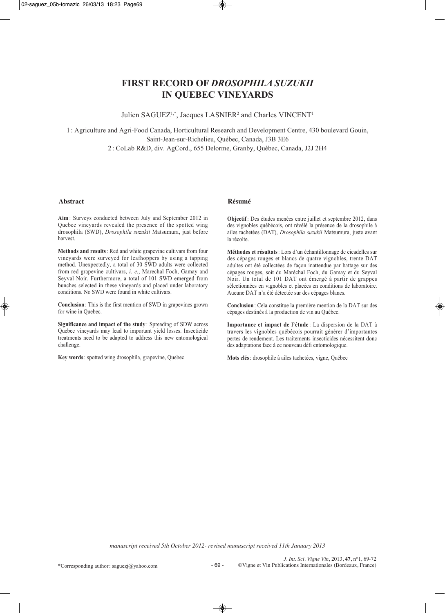# **FIRST RECORD OF** *DROSOPHILA SUZUKII* **IN QUEBEC VINEYARDS**

Julien SAGUEZ<sup>1,\*</sup>, Jacques LASNIER<sup>2</sup> and Charles VINCENT<sup>1</sup>

1: Agriculture and Agri-Food Canada, Horticultural Research and Development Centre, 430 boulevard Gouin, Saint-Jean-sur-Richelieu, Québec, Canada, J3B 3E6 2 : CoLab R&D, div. AgCord., 655 Delorme, Granby, Québec, Canada, J2J 2H4

#### **Abstract Résumé**

**Aim** : Surveys conducted between July and September 2012 in Quebec vineyards revealed the presence of the spotted wing drosophila (SWD), *Drosophila suzukii* Matsumura, just before harvest.

**Methods and results**: Red and white grapevine cultivars from four vineyards were surveyed for leafhoppers by using a tapping method. Unexpectedly, a total of 30 SWD adults were collected from red grapevine cultivars, *i. e.*, Marechal Foch, Gamay and Seyval Noir. Furthermore, a total of 101 SWD emerged from bunches selected in these vineyards and placed under laboratory conditions. No SWD were found in white cultivars.

**Conclusion**: This is the first mention of SWD in grapevines grown for wine in Quebec.

**Significance and impact of the study** : Spreading of SDW across Quebec vineyards may lead to important yield losses. Insecticide treatments need to be adapted to address this new entomological challenge.

**Key words**: spotted wing drosophila, grapevine, Quebec

**Objectif**: Des études menées entre juillet et septembre 2012, dans des vignobles québécois, ont révélé la présence de la drosophile à ailes tachetées (DAT), *Drosophila suzukii* Matsumura, juste avant la récolte.

**Méthodes et résultats**: Lors d'un échantillonnage de cicadelles sur des cépages rouges et blancs de quatre vignobles, trente DAT adultes ont été collectées de façon inattendue par battage sur des cépages rouges, soit du Maréchal Foch, du Gamay et du Seyval Noir. Un total de 101 DAT ont émergé à partir de grappes sélectionnées en vignobles et placées en conditions de laboratoire. Aucune DAT n'a été détectée sur des cépages blancs.

**Conclusion**: Cela constitue la première mention de la DAT sur des cépages destinés à la production de vin au Québec.

**Importance et impact de l'étude** : La dispersion de la DAT à travers les vignobles québécois pourrait générer d'importantes pertes de rendement. Les traitements insecticides nécessitent donc des adaptations face à ce nouveau défi entomologique.

**Mots clés**: drosophile à ailes tachetées, vigne, Québec

*manuscript received 5th October 2012- revised manuscript received 11th January 2013*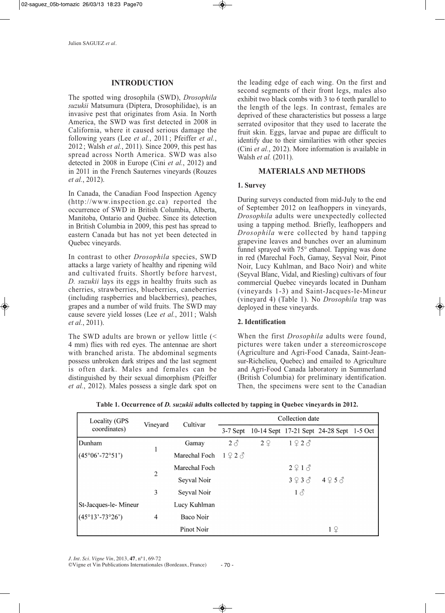## **INTRODUCTION**

The spotted wing drosophila (SWD), *Drosophila suzukii* Matsumura (Diptera, Drosophilidae), is an invasive pest that originates from Asia. In North America, the SWD was first detected in 2008 in California, where it caused serious damage the following years (Lee *et al.*, 2011 ; Pfeiffer *et al.*, 2012; Walsh *et al.*, 2011). Since 2009, this pest has spread across North America. SWD was also detected in 2008 in Europe (Cini *et al.*, 2012) and in 2011 in the French Sauternes vineyards (Rouzes *et al.*, 2012).

In Canada, the Canadian Food Inspection Agency (http://www.inspection.gc.ca) reported the occurrence of SWD in British Columbia, Alberta, Manitoba, Ontario and Quebec. Since its detection in British Columbia in 2009, this pest has spread to eastern Canada but has not yet been detected in Quebec vineyards.

In contrast to other *Drosophila* species, SWD attacks a large variety of healthy and ripening wild and cultivated fruits. Shortly before harvest, *D. suzukii* lays its eggs in healthy fruits such as cherries, strawberries, blueberries, caneberries (including raspberries and blackberries), peaches, grapes and a number of wild fruits. The SWD may cause severe yield losses (Lee *et al.*, 2011; Walsh *et al.*, 2011).

The SWD adults are brown or yellow little (< 4 mm) flies with red eyes. The antennae are short with branched arista. The abdominal segments possess unbroken dark stripes and the last segment is often dark. Males and females can be distinguished by their sexual dimorphism (Pfeiffer *et al.*, 2012). Males possess a single dark spot on

the leading edge of each wing. On the first and second segments of their front legs, males also exhibit two black combs with 3 to 6 teeth parallel to the length of the legs. In contrast, females are deprived of these characteristics but possess a large serrated ovipositor that they used to lacerate the fruit skin. Eggs, larvae and pupae are difficult to identify due to their similarities with other species (Cini *et al.*, 2012). More information is available in Walsh *et al.* (2011).

## **MATERIALS AND METHODS**

## **1. Survey**

During surveys conducted from mid-July to the end of September 2012 on leafhoppers in vineyards, *Drosophila* adults were unexpectedly collected using a tapping method. Briefly, leafhoppers and *Drosophila* were collected by hand tapping grapevine leaves and bunches over an aluminum funnel sprayed with 75° ethanol. Tapping was done in red (Marechal Foch, Gamay, Seyval Noir, Pinot Noir, Lucy Kuhlman, and Baco Noir) and white (Seyval Blanc, Vidal, and Riesling) cultivars of four commercial Quebec vineyards located in Dunham (vineyards 1-3) and Saint-Jacques-le-Mineur (vineyard 4) (Table 1). No *Drosophila* trap was deployed in these vineyards.

## **2. Identification**

When the first *Drosophila* adults were found, pictures were taken under a stereomicroscope (Agriculture and Agri-Food Canada, Saint-Jeansur-Richelieu, Quebec) and emailed to Agriculture and Agri-Food Canada laboratory in Summerland (British Columbia) for preliminary identification. Then, the specimens were sent to the Canadian

| Locality (GPS<br>coordinates) | Vineyard | Cultivar      | Collection date |    |                         |                                          |  |
|-------------------------------|----------|---------------|-----------------|----|-------------------------|------------------------------------------|--|
|                               |          |               | $3-7$ Sept      |    |                         | 10-14 Sept 17-21 Sept 24-28 Sept 1-5 Oct |  |
| Dunham                        |          | Gamay         | $2\delta$       | 2Q | $1 \nsubseteq 2 \nless$ |                                          |  |
| $(45°06' - 72°51')$           |          | Marechal Foch | 1923            |    |                         |                                          |  |
|                               | 2        | Marechal Foch |                 |    | 2913                    |                                          |  |
|                               |          | Seyval Noir   |                 |    | 393                     | 495                                      |  |
|                               | 3        | Seyval Noir   |                 |    | $1\delta$               |                                          |  |
| St-Jacques-le-Mineur          |          | Lucy Kuhlman  |                 |    |                         |                                          |  |
| $(45°13' - 73°26')$           | 4        | Baco Noir     |                 |    |                         |                                          |  |
|                               |          | Pinot Noir    |                 |    |                         | 19                                       |  |

**Table 1. Occurrence of** *D. suzukii* **adults collected by tapping in Quebec vineyards in 2012.**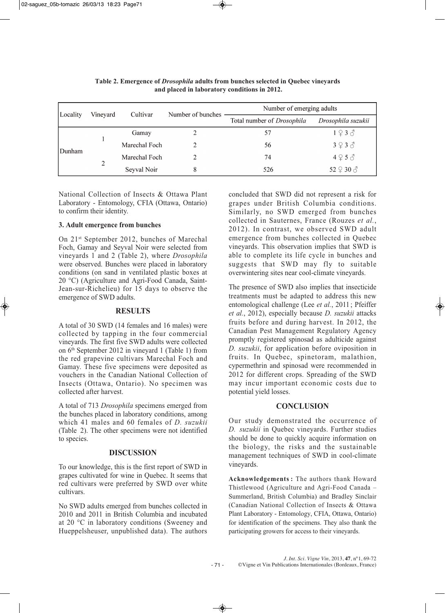| Locality | Vineyard | Cultivar      | Number of bunches | Number of emerging adults  |                           |  |
|----------|----------|---------------|-------------------|----------------------------|---------------------------|--|
|          |          |               |                   | Total number of Drosophila | Drosophila suzukii        |  |
| Dunham   |          | Gamay         |                   | 57                         | $1 \nsubseteq 3$ $\delta$ |  |
|          |          | Marechal Foch | 2                 | 56                         | 3930                      |  |
|          | 2        | Marechal Foch |                   | 74                         | $4 \nbrace 5 \nbrace 3$   |  |
|          |          | Seyval Noir   | 8                 | 526                        | 52 ♀ 30 3                 |  |

**Table 2. Emergence of** *Drosophila* **adults from bunches selected in Quebec vineyards and placed in laboratory conditions in 2012.**

National Collection of Insects & Ottawa Plant Laboratory - Entomology, CFIA (Ottawa, Ontario) to confirm their identity.

### **3. Adult emergence from bunches**

On 21st September 2012, bunches of Marechal Foch, Gamay and Seyval Noir were selected from vineyards 1 and 2 (Table 2), where *Drosophila* were observed. Bunches were placed in laboratory conditions (on sand in ventilated plastic boxes at 20 °C) (Agriculture and Agri-Food Canada, Saint-Jean-sur-Richelieu) for 15 days to observe the emergence of SWD adults.

### **RESULTS**

A total of 30 SWD (14 females and 16 males) were collected by tapping in the four commercial vineyards. The first five SWD adults were collected on 6th September 2012 in vineyard 1 (Table 1) from the red grapevine cultivars Marechal Foch and Gamay. These five specimens were deposited as vouchers in the Canadian National Collection of Insects (Ottawa, Ontario). No specimen was collected after harvest.

A total of 713 *Drosophila* specimens emerged from the bunches placed in laboratory conditions, among which 41 males and 60 females of *D. suzukii* (Table 2). The other specimens were not identified to species.

## **DISCUSSION**

To our knowledge, this is the first report of SWD in grapes cultivated for wine in Quebec. It seems that red cultivars were preferred by SWD over white cultivars.

No SWD adults emerged from bunches collected in 2010 and 2011 in British Columbia and incubated at 20 °C in laboratory conditions (Sweeney and Hueppelsheuser, unpublished data). The authors

concluded that SWD did not represent a risk for grapes under British Columbia conditions. Similarly, no SWD emerged from bunches collected in Sauternes, France (Rouzes *et al.*, 2012). In contrast, we observed SWD adult emergence from bunches collected in Quebec vineyards. This observation implies that SWD is able to complete its life cycle in bunches and suggests that SWD may fly to suitable overwintering sites near cool-climate vineyards.

The presence of SWD also implies that insecticide treatments must be adapted to address this new entomological challenge (Lee *et al.*, 2011; Pfeiffer *et al.*, 2012), especially because *D. suzukii* attacks fruits before and during harvest. In 2012, the Canadian Pest Management Regulatory Agency promptly registered spinosad as adulticide against *D. suzukii*, for application before oviposition in fruits. In Quebec, spinetoram, malathion, cypermethrin and spinosad were recommended in 2012 for different crops. Spreading of the SWD may incur important economic costs due to potential yield losses.

## **CONCLUSION**

Our study demonstrated the occurrence of *D. suzukii* in Quebec vineyards. Further studies should be done to quickly acquire information on the biology, the risks and the sustainable management techniques of SWD in cool-climate vineyards.

**Acknowledgements :** The authors thank Howard Thistlewood (Agriculture and Agri-Food Canada – Summerland, British Columbia) and Bradley Sinclair (Canadian National Collection of Insects & Ottawa Plant Laboratory - Entomology, CFIA, Ottawa, Ontario) for identification of the specimens. They also thank the participating growers for access to their vineyards.